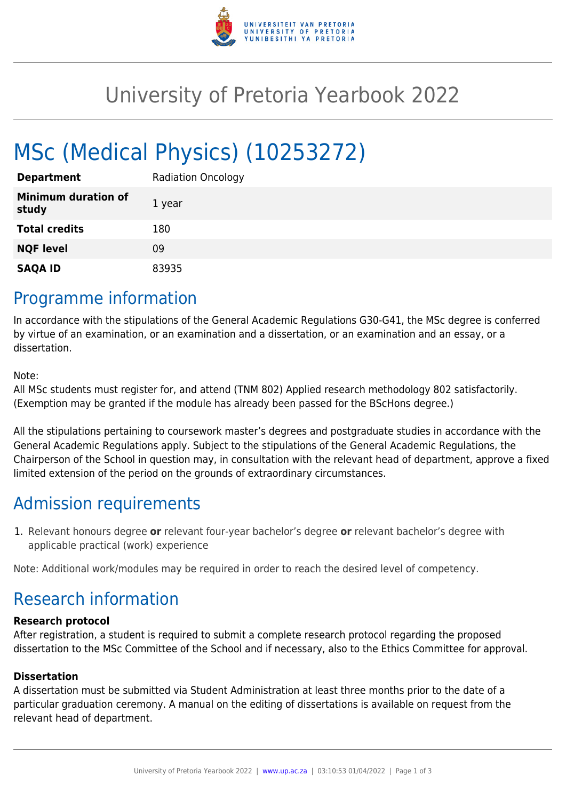

## University of Pretoria Yearbook 2022

# MSc (Medical Physics) (10253272)

| <b>Department</b>                   | <b>Radiation Oncology</b> |
|-------------------------------------|---------------------------|
| <b>Minimum duration of</b><br>study | 1 year                    |
| <b>Total credits</b>                | 180                       |
| <b>NQF level</b>                    | 09                        |
| <b>SAQA ID</b>                      | 83935                     |

### Programme information

In accordance with the stipulations of the General Academic Regulations G30-G41, the MSc degree is conferred by virtue of an examination, or an examination and a dissertation, or an examination and an essay, or a dissertation.

Note:

All MSc students must register for, and attend (TNM 802) Applied research methodology 802 satisfactorily. (Exemption may be granted if the module has already been passed for the BScHons degree.)

All the stipulations pertaining to coursework master's degrees and postgraduate studies in accordance with the General Academic Regulations apply. Subject to the stipulations of the General Academic Regulations, the Chairperson of the School in question may, in consultation with the relevant head of department, approve a fixed limited extension of the period on the grounds of extraordinary circumstances.

### Admission requirements

1. Relevant honours degree **or** relevant four-year bachelor's degree **or** relevant bachelor's degree with applicable practical (work) experience

Note: Additional work/modules may be required in order to reach the desired level of competency.

### Research information

#### **Research protocol**

After registration, a student is required to submit a complete research protocol regarding the proposed dissertation to the MSc Committee of the School and if necessary, also to the Ethics Committee for approval.

#### **Dissertation**

A dissertation must be submitted via Student Administration at least three months prior to the date of a particular graduation ceremony. A manual on the editing of dissertations is available on request from the relevant head of department.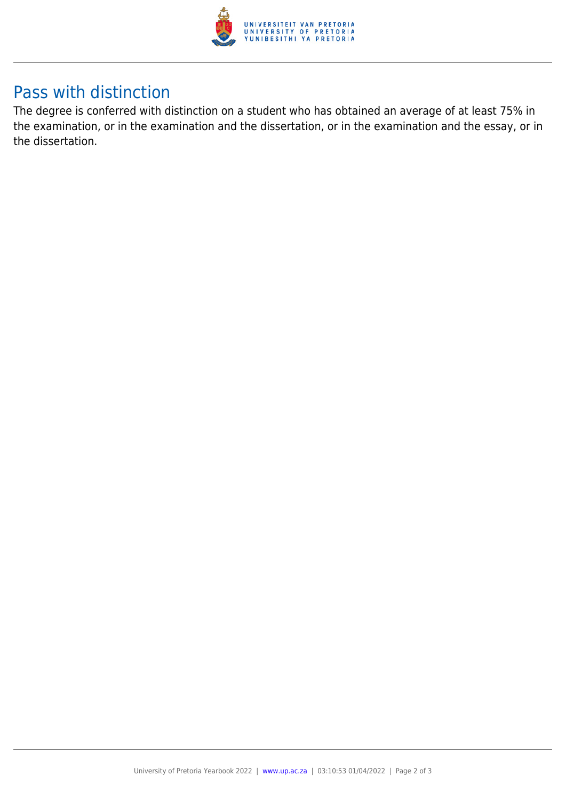

### Pass with distinction

The degree is conferred with distinction on a student who has obtained an average of at least 75% in the examination, or in the examination and the dissertation, or in the examination and the essay, or in the dissertation.